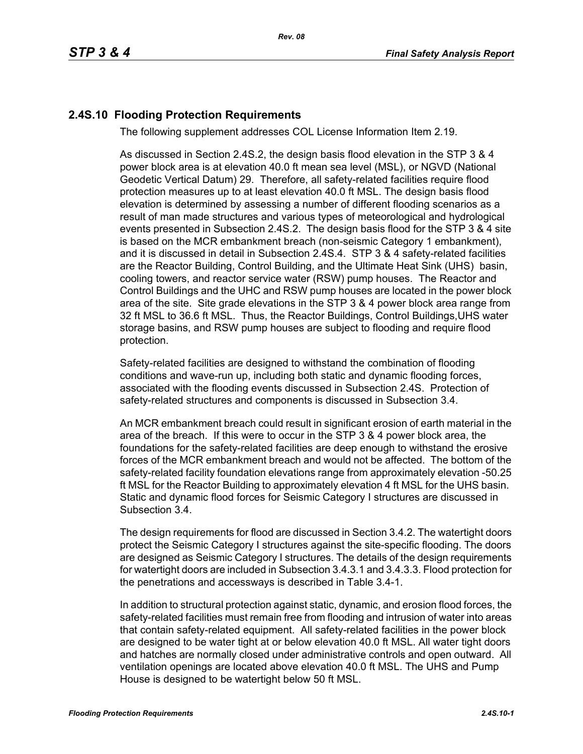## **2.4S.10 Flooding Protection Requirements**

The following supplement addresses COL License Information Item 2.19.

As discussed in Section 2.4S.2, the design basis flood elevation in the STP 3 & 4 power block area is at elevation 40.0 ft mean sea level (MSL), or NGVD (National Geodetic Vertical Datum) 29. Therefore, all safety-related facilities require flood protection measures up to at least elevation 40.0 ft MSL. The design basis flood elevation is determined by assessing a number of different flooding scenarios as a result of man made structures and various types of meteorological and hydrological events presented in Subsection 2.4S.2. The design basis flood for the STP 3 & 4 site is based on the MCR embankment breach (non-seismic Category 1 embankment), and it is discussed in detail in Subsection 2.4S.4. STP 3 & 4 safety-related facilities are the Reactor Building, Control Building, and the Ultimate Heat Sink (UHS) basin, cooling towers, and reactor service water (RSW) pump houses. The Reactor and Control Buildings and the UHC and RSW pump houses are located in the power block area of the site. Site grade elevations in the STP 3 & 4 power block area range from 32 ft MSL to 36.6 ft MSL. Thus, the Reactor Buildings, Control Buildings,UHS water storage basins, and RSW pump houses are subject to flooding and require flood protection.

Safety-related facilities are designed to withstand the combination of flooding conditions and wave-run up, including both static and dynamic flooding forces, associated with the flooding events discussed in Subsection 2.4S. Protection of safety-related structures and components is discussed in Subsection 3.4.

An MCR embankment breach could result in significant erosion of earth material in the area of the breach. If this were to occur in the STP 3 & 4 power block area, the foundations for the safety-related facilities are deep enough to withstand the erosive forces of the MCR embankment breach and would not be affected. The bottom of the safety-related facility foundation elevations range from approximately elevation -50.25 ft MSL for the Reactor Building to approximately elevation 4 ft MSL for the UHS basin. Static and dynamic flood forces for Seismic Category I structures are discussed in Subsection 3.4.

The design requirements for flood are discussed in Section 3.4.2. The watertight doors protect the Seismic Category I structures against the site-specific flooding. The doors are designed as Seismic Category I structures. The details of the design requirements for watertight doors are included in Subsection 3.4.3.1 and 3.4.3.3. Flood protection for the penetrations and accessways is described in Table 3.4-1.

In addition to structural protection against static, dynamic, and erosion flood forces, the safety-related facilities must remain free from flooding and intrusion of water into areas that contain safety-related equipment. All safety-related facilities in the power block are designed to be water tight at or below elevation 40.0 ft MSL. All water tight doors and hatches are normally closed under administrative controls and open outward. All ventilation openings are located above elevation 40.0 ft MSL. The UHS and Pump House is designed to be watertight below 50 ft MSL.